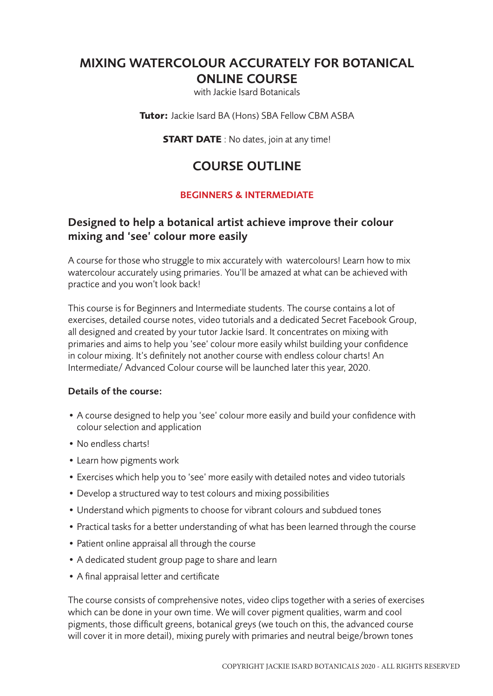# MIXING WATERCOLOUR ACCURATELY FOR BOTANICAL ONLINE COURSE

with Jackie Isard Botanicals

**Tutor:** Jackie Isard BA (Hons) SBA Fellow CBM ASBA

**START DATE** : No dates, join at any time!

# COURSE OUTLINE

## BEGINNERS & INTERMEDIATE

## Designed to help a botanical artist achieve improve their colour mixing and 'see' colour more easily

A course for those who struggle to mix accurately with watercolours! Learn how to mix watercolour accurately using primaries. You'll be amazed at what can be achieved with practice and you won't look back!

This course is for Beginners and Intermediate students. The course contains a lot of exercises, detailed course notes, video tutorials and a dedicated Secret Facebook Group, all designed and created by your tutor Jackie Isard. It concentrates on mixing with primaries and aims to help you 'see' colour more easily whilst building your confidence in colour mixing. It's definitely not another course with endless colour charts! An Intermediate/ Advanced Colour course will be launched later this year, 2020.

#### Details of the course:

- A course designed to help you 'see' colour more easily and build your confidence with colour selection and application
- No endless charts!
- Learn how pigments work
- Exercises which help you to 'see' more easily with detailed notes and video tutorials
- Develop a structured way to test colours and mixing possibilities
- Understand which pigments to choose for vibrant colours and subdued tones
- Practical tasks for a better understanding of what has been learned through the course
- Patient online appraisal all through the course
- A dedicated student group page to share and learn
- A final appraisal letter and certificate

The course consists of comprehensive notes, video clips together with a series of exercises which can be done in your own time. We will cover pigment qualities, warm and cool pigments, those difficult greens, botanical greys (we touch on this, the advanced course will cover it in more detail), mixing purely with primaries and neutral beige/brown tones